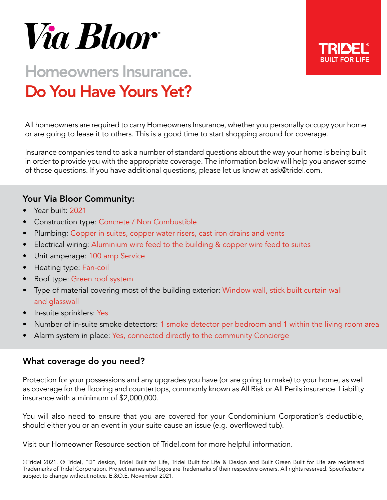

# Homeowners Insurance. Do You Have Yours Yet?

All homeowners are required to carry Homeowners Insurance, whether you personally occupy your home or are going to lease it to others. This is a good time to start shopping around for coverage.

Insurance companies tend to ask a number of standard questions about the way your home is being built in order to provide you with the appropriate coverage. The information below will help you answer some of those questions. If you have additional questions, please let us know at ask@tridel.com.

## Your Via Bloor Community:

- Year built: 2021
- Construction type: Concrete / Non Combustible
- Plumbing: Copper in suites, copper water risers, cast iron drains and vents
- Electrical wiring: Aluminium wire feed to the building & copper wire feed to suites
- Unit amperage: 100 amp Service
- Heating type: Fan-coil
- Roof type: Green roof system
- Type of material covering most of the building exterior: Window wall, stick built curtain wall and glasswall
- In-suite sprinklers: Yes
- Number of in-suite smoke detectors: 1 smoke detector per bedroom and 1 within the living room area
- Alarm system in place: Yes, connected directly to the community Concierge

### What coverage do you need?

Protection for your possessions and any upgrades you have (or are going to make) to your home, as well as coverage for the flooring and countertops, commonly known as All Risk or All Perils insurance. Liability insurance with a minimum of \$2,000,000.

You will also need to ensure that you are covered for your Condominium Corporation's deductible, should either you or an event in your suite cause an issue (e.g. overflowed tub).

Visit our Homeowner Resource section of Tridel.com for more helpful information.

©Tridel 2021. ® Tridel, "D" design, Tridel Built for Life, Tridel Built for Life & Design and Built Green Built for Life are registered Trademarks of Tridel Corporation. Project names and logos are Trademarks of their respective owners. All rights reserved. Specifications subject to change without notice. E.&O.E. November 2021.